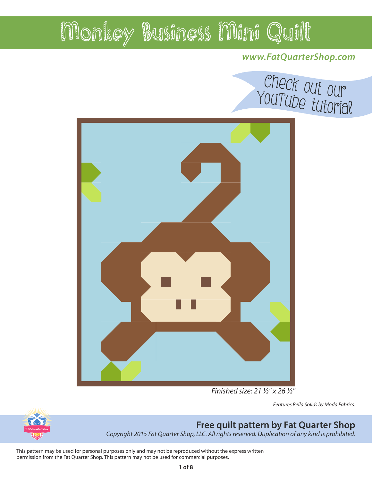### **www.FatQuarterShop.com**



Finished size: 21 ½" x 26 ½"

Features Bella Solids by Moda Fabrics.



### **Free quilt pattern by Fat Quarter Shop**

Copyright 2015 Fat Quarter Shop, LLC. All rights reserved. Duplication of any kind is prohibited.

This pattern may be used for personal purposes only and may not be reproduced without the express written permission from the Fat Quarter Shop. This pattern may not be used for commercial purposes.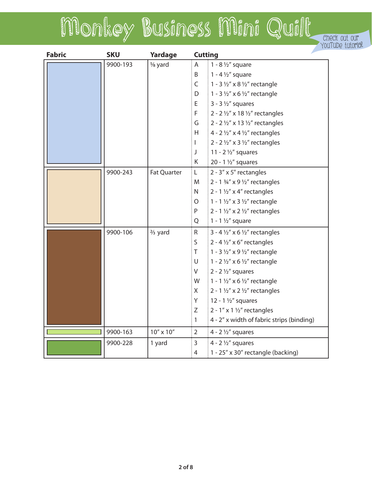# Monkey Business Mini Quilt Check out our YouTube tutorial

| <b>Fabric</b> | <b>SKU</b> | Yardage              | <b>Cutting</b> |                                                       |
|---------------|------------|----------------------|----------------|-------------------------------------------------------|
|               | 9900-193   | 5/ <sub>8</sub> yard | A              | 1 - 8 $\frac{1}{2}$ " square                          |
|               |            |                      | B              | $\frac{1}{2}$ 1 - 4 1/2" square                       |
|               |            |                      | $\mathsf{C}$   | $\frac{1}{2}$ 1 - 3 1/2" x 8 1/2" rectangle           |
|               |            |                      | D.             | $1 - 3 \frac{1}{2}$ " x 6 1/2" rectangle              |
|               |            |                      | E.             | $\frac{1}{2}$ 3 - 3 1/2" squares                      |
|               |            |                      | F.             | 2 - 2 $\frac{1}{2}$ " x 18 $\frac{1}{2}$ " rectangles |
|               |            |                      | G              | $\frac{1}{2}$ 2 - 2 1/2" x 13 1/2" rectangles         |
|               |            |                      | H.             | $4 - 2 \frac{1}{2}$ x 4 $\frac{1}{2}$ rectangles      |
|               |            |                      | $\mathbf{I}$   | 2 - 2 $\frac{1}{2}$ " x 3 $\frac{1}{2}$ " rectangles  |
|               |            |                      | J              | 11 - $2\frac{1}{2}$ " squares                         |
|               |            |                      | K.             | 20 - 1 $\frac{1}{2}$ squares                          |
|               | 9900-243   | <b>Fat Quarter</b>   | $\mathsf{L}$   | $2 - 3'' \times 5''$ rectangles                       |
|               |            |                      | M              | $\frac{3}{2}$ 2 - 1 3/4" x 9 1/2" rectangles          |
|               |            |                      | N              | $\frac{1}{2}$ 2 - 1 1/2" x 4" rectangles              |
|               |            |                      | 0              | $1 - 1$ 1/2" x 3 1/2" rectangle                       |
|               |            |                      | P              | $2 - 1$ 1/2" x 2 1/2" rectangles                      |
|               |            |                      | Q              | $\frac{1}{2}$ 1 - 1 1/2" square                       |
|               | 9900-106   | $\frac{2}{3}$ yard   | $\mathsf{R}$   | $3 - 4\frac{1}{2}x$ x 6 $\frac{1}{2}x$ rectangles     |
|               |            |                      | S              | 2 - 4 $\frac{1}{2}$ " x 6" rectangles                 |
|               |            |                      | T.             | $1 - 3 \frac{1}{2}$ x 9 1/2" rectangle                |
|               |            |                      | $\cup$         | $1 - 2 \frac{1}{2}$ x 6 1/2" rectangle                |
|               |            |                      | V              | $\frac{1}{2}$ 2 $\frac{1}{2}$ squares                 |
|               |            |                      | W              | $\frac{1}{2}$ 1 - 1 1/2" x 6 1/2" rectangle           |
|               |            |                      | $\mathsf{X}$   | 2 - 1 $\frac{1}{2}$ " x 2 $\frac{1}{2}$ " rectangles  |
|               |            |                      | Y              | $12 - 1$ 1/2" squares                                 |
|               |            |                      | Ζ              | 2 - $1''$ x 1 $\frac{1}{2}''$ rectangles              |
|               |            |                      | 1              | 4 - 2" x width of fabric strips (binding)             |
|               | 9900-163   | 10" x 10"            | $\overline{2}$ | 4 - $2\frac{1}{2}$ squares                            |
|               | 9900-228   | 1 yard               | $\overline{3}$ | 4 - $2\frac{1}{2}$ squares                            |
|               |            |                      | $\overline{4}$ | 1 - 25" x 30" rectangle (backing)                     |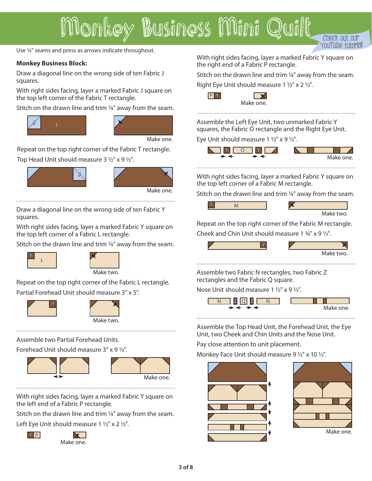Use ¼" seams and press as arrows indicate throughout.

#### **Monkey Business Block:**

Draw a diagonal line on the wrong side of ten Fabric J squares.

With right sides facing, layer a marked Fabric J square on the top left corner of the Fabric T rectangle.

Stitch on the drawn line and trim ¼" away from the seam.





Make one.

Repeat on the top right corner of the Fabric T rectangle. Top Head Unit should measure  $3\frac{1}{2}$ " x 9  $\frac{1}{2}$ ".





Make one.

Draw a diagonal line on the wrong side of ten Fabric Y squares.

With right sides facing, layer a marked Fabric Y square on the top left corner of a Fabric L rectangle.

Stitch on the drawn line and trim ¼" away from the seam.





Repeat on the top right corner of the Fabric L rectangle. Partial Forehead Unit should measure 3" x 5".





Assemble two Partial Forehead Units.

Forehead Unit should measure 3" x 9 1/2".



With right sides facing, layer a marked Fabric Y square on the left end of a Fabric P rectangle.

Stitch on the drawn line and trim ¼" away from the seam. Left Eye Unit should measure 1  $1/2$ " x 2  $1/2$ ".



Make one.

With right sides facing, layer a marked Fabric Y square on the right end of a Fabric P rectangle.

YouTub<sup>e</sup> tutorial

Stitch on the drawn line and trim 1/4" away from the seam.

Right Eye Unit should measure 1  $1/2$ " x 2  $1/2$ ".



 $P'$ 

Assemble the Left Eye Unit, two unmarked Fabric Y squares, the Fabric O rectangle and the Right Eye Unit.

Eye Unit should measure 1  $1/2$ " x 9  $1/2$ ".



With right sides facing, layer a marked Fabric Y square on the top left corner of a Fabric M rectangle.

Stitch on the drawn line and trim 1/4" away from the seam.



Repeat on the top right corner of the Fabric M rectangle. Cheek and Chin Unit should measure 1  $\frac{3}{4}$ " x 9  $\frac{1}{2}$ ".



Assemble two Fabric N rectangles, two Fabric Z rectangles and the Fabric Q square.

Nose Unit should measure 1  $1/2$ " x 9  $1/2$ ".



Assemble the Top Head Unit, the Forehead Unit, the Eye Unit, two Cheek and Chin Units and the Nose Unit.

Pay close attention to unit placement.

Monkey Face Unit should measure 9  $\frac{1}{2}$ " x 10  $\frac{1}{2}$ ".



**3 of 8**

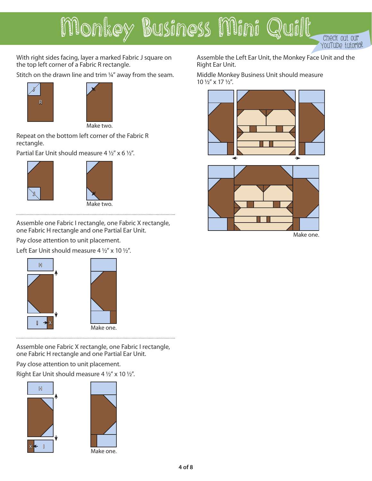With right sides facing, layer a marked Fabric J square on the top left corner of a Fabric R rectangle.

Stitch on the drawn line and trim 1/4" away from the seam.





Make two.

Repeat on the bottom left corner of the Fabric R rectangle.

Partial Ear Unit should measure 4  $1/2$ " x 6  $1/2$ ".





Assemble one Fabric I rectangle, one Fabric X rectangle, one Fabric H rectangle and one Partial Ear Unit.

Pay close attention to unit placement.

Left Ear Unit should measure 4  $1/2''$  x 10  $1/2''$ .





Assemble one Fabric X rectangle, one Fabric I rectangle, one Fabric H rectangle and one Partial Ear Unit.

Pay close attention to unit placement.

Right Ear Unit should measure 4 1/2" x 10 1/2".





Make one.

Assemble the Left Ear Unit, the Monkey Face Unit and the Right Ear Unit.

YouTub<sup>e</sup> tutorial

Middle Monkey Business Unit should measure 10 1/2" x 17 1/2".





Make one.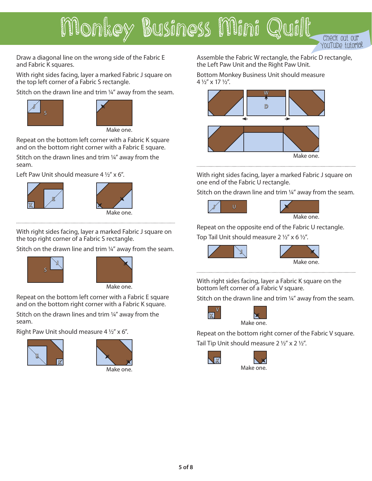YouTube tutor

Draw a diagonal line on the wrong side of the Fabric E and Fabric K squares.

With right sides facing, layer a marked Fabric J square on the top left corner of a Fabric S rectangle.

Stitch on the drawn line and trim ¼" away from the seam.





Make one.

Repeat on the bottom left corner with a Fabric K square and on the bottom right corner with a Fabric E square.

Stitch on the drawn lines and trim ¼" away from the seam.

Left Paw Unit should measure  $4\frac{1}{2}$ " x 6".





With right sides facing, layer a marked Fabric J square on the top right corner of a Fabric S rectangle.

Stitch on the drawn line and trim 1/4" away from the seam.





Make one.

Repeat on the bottom left corner with a Fabric E square and on the bottom right corner with a Fabric K square.

Stitch on the drawn lines and trim ¼" away from the seam.

Right Paw Unit should measure 4  $\frac{1}{2}$ " x 6".





Assemble the Fabric W rectangle, the Fabric D rectangle, the Left Paw Unit and the Right Paw Unit.

Bottom Monkey Business Unit should measure 4 1/2" x 17 1/2".



With right sides facing, layer a marked Fabric J square on one end of the Fabric U rectangle.

Stitch on the drawn line and trim ¼" away from the seam.



Repeat on the opposite end of the Fabric U rectangle.

Top Tail Unit should measure 2  $1/2$ " x 6  $1/2$ ".



With right sides facing, layer a Fabric K square on the bottom left corner of a Fabric V square.

Stitch on the drawn line and trim 1/4" away from the seam.



Repeat on the bottom right corner of the Fabric V square. Make one.

Tail Tip Unit should measure  $2 \frac{1}{2}$ " x  $2 \frac{1}{2}$ ".



K

Make one.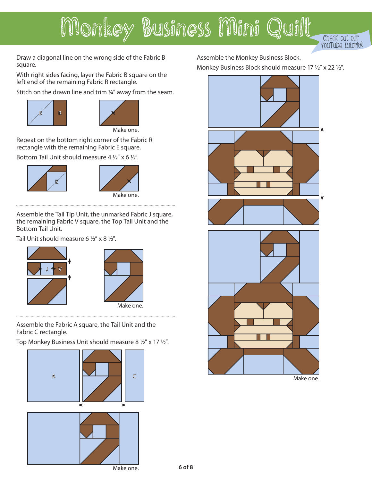

Draw a diagonal line on the wrong side of the Fabric B square.

With right sides facing, layer the Fabric B square on the left end of the remaining Fabric R rectangle.

Stitch on the drawn line and trim ¼" away from the seam.





Repeat on the bottom right corner of the Fabric R rectangle with the remaining Fabric E square.

Bottom Tail Unit should measure 4  $1/2$ " x 6  $1/2$ ".





Assemble the Tail Tip Unit, the unmarked Fabric J square, the remaining Fabric V square, the Top Tail Unit and the Bottom Tail Unit.

Tail Unit should measure 6  $1/2$ " x 8  $1/2$ ".





Assemble the Fabric A square, the Tail Unit and the Fabric C rectangle.

Top Monkey Business Unit should measure 8 1/2" x 17 1/2".

Make one. A I<del>VII</del>IC

Assemble the Monkey Business Block. Monkey Business Block should measure 17 1/2" x 22 1/2".





Make one.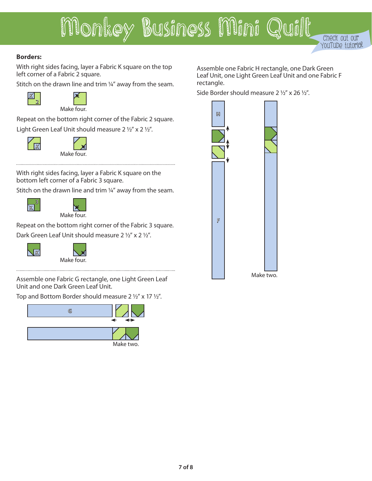

#### **Borders:**

With right sides facing, layer a Fabric K square on the top left corner of a Fabric 2 square.

Stitch on the drawn line and trim ¼" away from the seam.





Repeat on the bottom right corner of the Fabric 2 square. Light Green Leaf Unit should measure 2  $1/2$ " x 2  $1/2$ ".



Make four.

With right sides facing, layer a Fabric K square on the bottom left corner of a Fabric 3 square.

Stitch on the drawn line and trim 1/4" away from the seam.



Make four.

Repeat on the bottom right corner of the Fabric 3 square. Dark Green Leaf Unit should measure 2 1/2" x 2 1/2".



Make four.

Assemble one Fabric G rectangle, one Light Green Leaf Unit and one Dark Green Leaf Unit.

Top and Bottom Border should measure 2 1/2" x 17 1/2".



Assemble one Fabric H rectangle, one Dark Green Leaf Unit, one Light Green Leaf Unit and one Fabric F rectangle.

Side Border should measure  $2\frac{1}{2}$ " x 26  $\frac{1}{2}$ ".